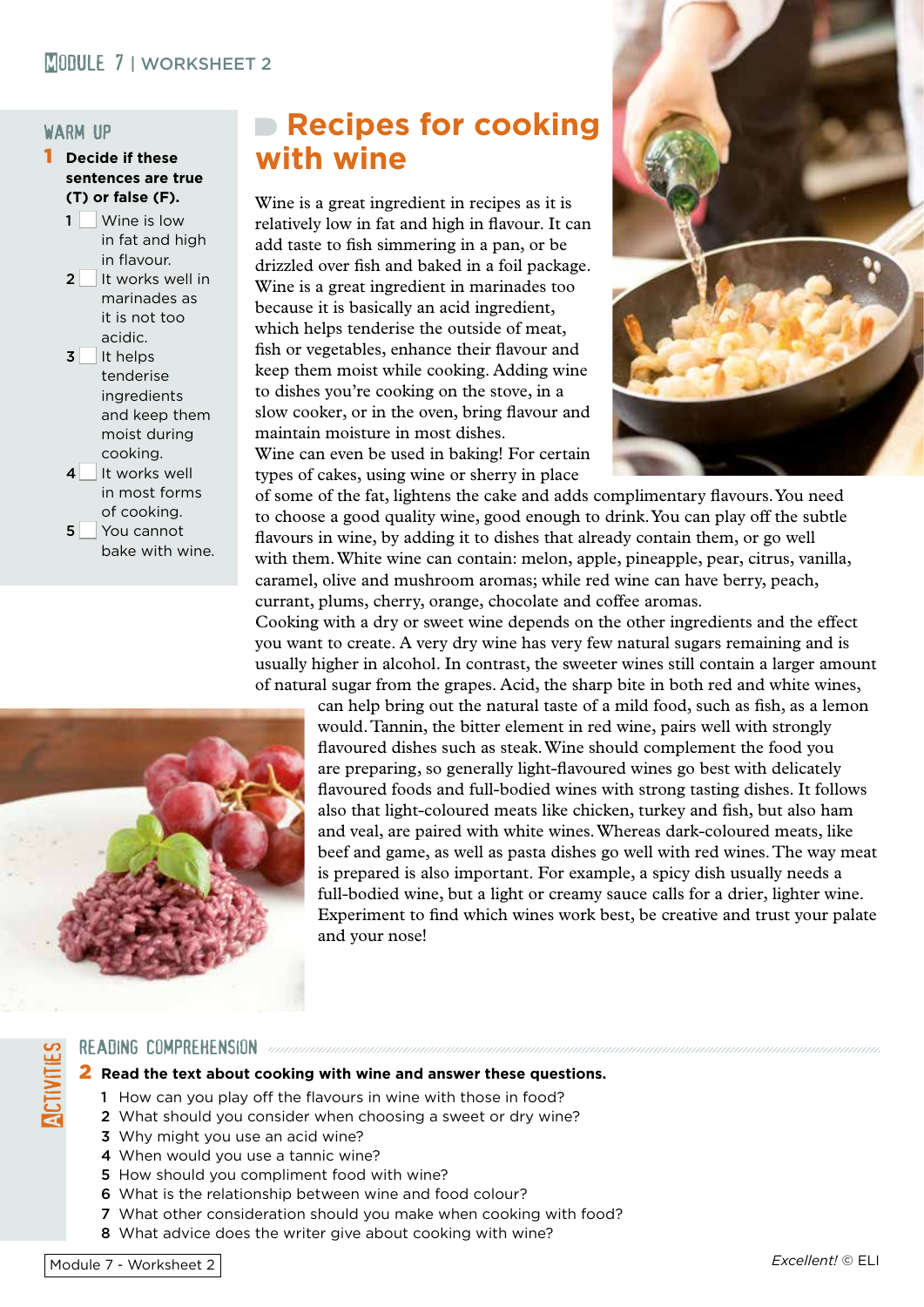# **MORULE 7 | WORKSHEET 2**

# warm up

# 1 **Decide if these sentences are true (T) or false (F).**



 cooking.  $4$  It works well in most forms of cooking. 5 You cannot bake with wine.  **Recipes for cooking with wine**

Wine is a great ingredient in recipes as it is relatively low in fat and high in flavour. It can add taste to fish simmering in a pan, or be drizzled over fish and baked in a foil package. Wine is a great ingredient in marinades too because it is basically an acid ingredient, which helps tenderise the outside of meat, fish or vegetables, enhance their flavour and keep them moist while cooking. Adding wine to dishes you're cooking on the stove, in a slow cooker, or in the oven, bring flavour and maintain moisture in most dishes.

Wine can even be used in baking! For certain types of cakes, using wine or sherry in place



of some of the fat, lightens the cake and adds complimentary flavours. You need to choose a good quality wine, good enough to drink. You can play off the subtle flavours in wine, by adding it to dishes that already contain them, or go well with them. White wine can contain: melon, apple, pineapple, pear, citrus, vanilla, caramel, olive and mushroom aromas; while red wine can have berry, peach, currant, plums, cherry, orange, chocolate and coffee aromas.

Cooking with a dry or sweet wine depends on the other ingredients and the effect you want to create. A very dry wine has very few natural sugars remaining and is usually higher in alcohol. In contrast, the sweeter wines still contain a larger amount of natural sugar from the grapes. Acid, the sharp bite in both red and white wines,



can help bring out the natural taste of a mild food, such as fish, as a lemon would. Tannin, the bitter element in red wine, pairs well with strongly flavoured dishes such as steak. Wine should complement the food you are preparing, so generally light-flavoured wines go best with delicately flavoured foods and full-bodied wines with strong tasting dishes. It follows also that light-coloured meats like chicken, turkey and fish, but also ham and veal, are paired with white wines. Whereas dark-coloured meats, like beef and game, as well as pasta dishes go well with red wines. The way meat is prepared is also important. For example, a spicy dish usually needs a full-bodied wine, but a light or creamy sauce calls for a drier, lighter wine. Experiment to find which wines work best, be creative and trust your palate and your nose!

## READING COMPREHENSION *Announcemmentalismentalismentalismentalismentalisment*

#### 2 **Read the text about cooking with wine and answer these questions.**

- 1 How can you play off the flavours in wine with those in food?
- 2 What should you consider when choosing a sweet or dry wine?
- 3 Why might you use an acid wine?
- 4 When would you use a tannic wine?
- 5 How should you compliment food with wine?
- 6 What is the relationship between wine and food colour?
- 7 What other consideration should you make when cooking with food?
- 8 What advice does the writer give about cooking with wine?

**Activities**